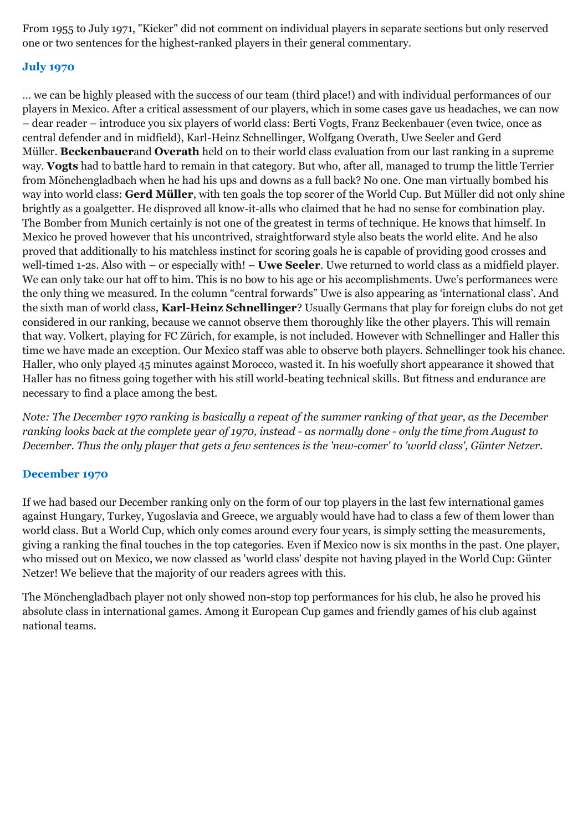From 1955 to July 1971, "Kicker" did not comment on individual players in separate sections but only reserved one or two sentences for the highest-ranked players in their general commentary.

## **July 1970**

… we can be highly pleased with the success of our team (third place!) and with individual performances of our players in Mexico. After a critical assessment of our players, which in some cases gave us headaches, we can now – dear reader – introduce you six players of world class: Berti Vogts, Franz Beckenbauer (even twice, once as central defender and in midfield), Karl-Heinz Schnellinger, Wolfgang Overath, Uwe Seeler and Gerd Müller. **Beckenbauer**and **Overath** held on to their world class evaluation from our last ranking in a supreme way. **Vogts** had to battle hard to remain in that category. But who, after all, managed to trump the little Terrier from Mönchengladbach when he had his ups and downs as a full back? No one. One man virtually bombed his way into world class: **Gerd Müller**, with ten goals the top scorer of the World Cup. But Müller did not only shine brightly as a goalgetter. He disproved all know-it-alls who claimed that he had no sense for combination play. The Bomber from Munich certainly is not one of the greatest in terms of technique. He knows that himself. In Mexico he proved however that his uncontrived, straightforward style also beats the world elite. And he also proved that additionally to his matchless instinct for scoring goals he is capable of providing good crosses and well-timed 1-2s. Also with – or especially with! – **Uwe Seeler**. Uwe returned to world class as a midfield player. We can only take our hat off to him. This is no bow to his age or his accomplishments. Uwe's performances were the only thing we measured. In the column "central forwards" Uwe is also appearing as 'international class'. And the sixth man of world class, **Karl-Heinz Schnellinger**? Usually Germans that play for foreign clubs do not get considered in our ranking, because we cannot observe them thoroughly like the other players. This will remain that way. Volkert, playing for FC Zürich, for example, is not included. However with Schnellinger and Haller this time we have made an exception. Our Mexico staff was able to observe both players. Schnellinger took his chance. Haller, who only played 45 minutes against Morocco, wasted it. In his woefully short appearance it showed that Haller has no fitness going together with his still world-beating technical skills. But fitness and endurance are necessary to find a place among the best.

*Note: The December 1970 ranking is basically a repeat of the summer ranking of that year, as the December ranking looks back at the complete year of 1970, instead - as normally done - only the time from August to December. Thus the only player that gets a few sentences is the 'new-comer' to 'world class', Günter Netzer.*

## **December 1970**

If we had based our December ranking only on the form of our top players in the last few international games against Hungary, Turkey, Yugoslavia and Greece, we arguably would have had to class a few of them lower than world class. But a World Cup, which only comes around every four years, is simply setting the measurements, giving a ranking the final touches in the top categories. Even if Mexico now is six months in the past. One player, who missed out on Mexico, we now classed as 'world class' despite not having played in the World Cup: Günter Netzer! We believe that the majority of our readers agrees with this.

The Mönchengladbach player not only showed non-stop top performances for his club, he also he proved his absolute class in international games. Among it European Cup games and friendly games of his club against national teams.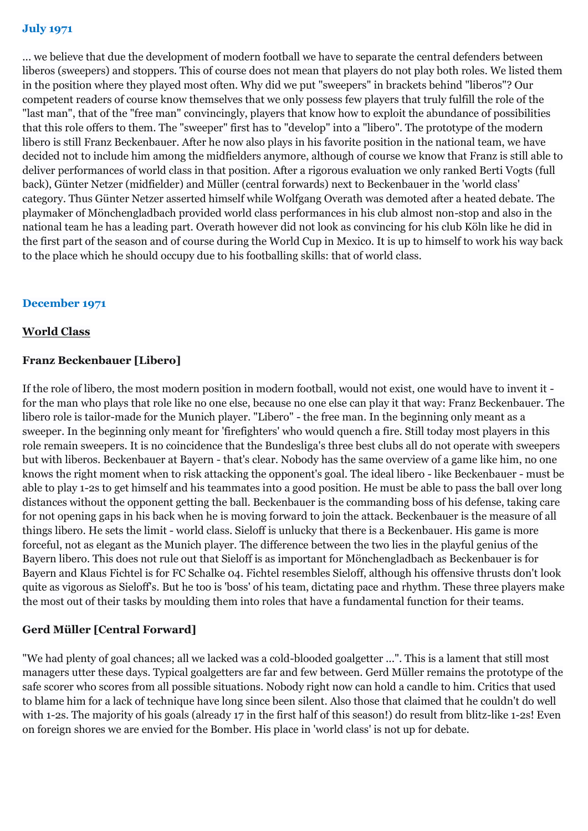... we believe that due the development of modern football we have to separate the central defenders between liberos (sweepers) and stoppers. This of course does not mean that players do not play both roles. We listed them in the position where they played most often. Why did we put "sweepers" in brackets behind "liberos"? Our competent readers of course know themselves that we only possess few players that truly fulfill the role of the "last man", that of the "free man" convincingly, players that know how to exploit the abundance of possibilities that this role offers to them. The "sweeper" first has to "develop" into a "libero". The prototype of the modern libero is still Franz Beckenbauer. After he now also plays in his favorite position in the national team, we have decided not to include him among the midfielders anymore, although of course we know that Franz is still able to deliver performances of world class in that position. After a rigorous evaluation we only ranked Berti Vogts (full back), Günter Netzer (midfielder) and Müller (central forwards) next to Beckenbauer in the 'world class' category. Thus Günter Netzer asserted himself while Wolfgang Overath was demoted after a heated debate. The playmaker of Mönchengladbach provided world class performances in his club almost non-stop and also in the national team he has a leading part. Overath however did not look as convincing for his club Köln like he did in the first part of the season and of course during the World Cup in Mexico. It is up to himself to work his way back to the place which he should occupy due to his footballing skills: that of world class.

#### **December 1971**

#### **World Class**

#### **Franz Beckenbauer [Libero]**

If the role of libero, the most modern position in modern football, would not exist, one would have to invent it for the man who plays that role like no one else, because no one else can play it that way: Franz Beckenbauer. The libero role is tailor-made for the Munich player. "Libero" - the free man. In the beginning only meant as a sweeper. In the beginning only meant for 'firefighters' who would quench a fire. Still today most players in this role remain sweepers. It is no coincidence that the Bundesliga's three best clubs all do not operate with sweepers but with liberos. Beckenbauer at Bayern - that's clear. Nobody has the same overview of a game like him, no one knows the right moment when to risk attacking the opponent's goal. The ideal libero - like Beckenbauer - must be able to play 1-2s to get himself and his teammates into a good position. He must be able to pass the ball over long distances without the opponent getting the ball. Beckenbauer is the commanding boss of his defense, taking care for not opening gaps in his back when he is moving forward to join the attack. Beckenbauer is the measure of all things libero. He sets the limit - world class. Sieloff is unlucky that there is a Beckenbauer. His game is more forceful, not as elegant as the Munich player. The difference between the two lies in the playful genius of the Bayern libero. This does not rule out that Sieloff is as important for Mönchengladbach as Beckenbauer is for Bayern and Klaus Fichtel is for FC Schalke 04. Fichtel resembles Sieloff, although his offensive thrusts don't look quite as vigorous as Sieloff's. But he too is 'boss' of his team, dictating pace and rhythm. These three players make the most out of their tasks by moulding them into roles that have a fundamental function for their teams.

#### **Gerd Müller [Central Forward]**

"We had plenty of goal chances; all we lacked was a cold-blooded goalgetter ...". This is a lament that still most managers utter these days. Typical goalgetters are far and few between. Gerd Müller remains the prototype of the safe scorer who scores from all possible situations. Nobody right now can hold a candle to him. Critics that used to blame him for a lack of technique have long since been silent. Also those that claimed that he couldn't do well with 1-2s. The majority of his goals (already 17 in the first half of this season!) do result from blitz-like 1-2s! Even on foreign shores we are envied for the Bomber. His place in 'world class' is not up for debate.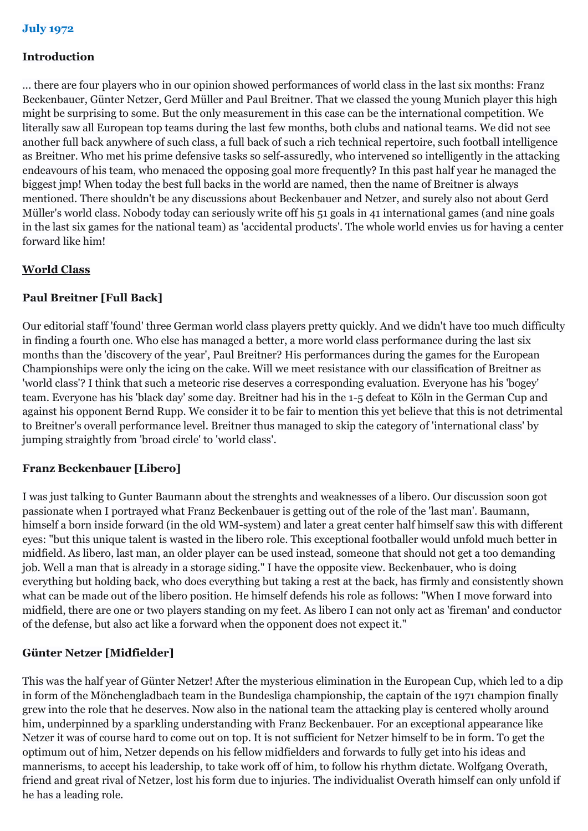#### **Introduction**

... there are four players who in our opinion showed performances of world class in the last six months: Franz Beckenbauer, Günter Netzer, Gerd Müller and Paul Breitner. That we classed the young Munich player this high might be surprising to some. But the only measurement in this case can be the international competition. We literally saw all European top teams during the last few months, both clubs and national teams. We did not see another full back anywhere of such class, a full back of such a rich technical repertoire, such football intelligence as Breitner. Who met his prime defensive tasks so self-assuredly, who intervened so intelligently in the attacking endeavours of his team, who menaced the opposing goal more frequently? In this past half year he managed the biggest jmp! When today the best full backs in the world are named, then the name of Breitner is always mentioned. There shouldn't be any discussions about Beckenbauer and Netzer, and surely also not about Gerd Müller's world class. Nobody today can seriously write off his 51 goals in 41 international games (and nine goals in the last six games for the national team) as 'accidental products'. The whole world envies us for having a center forward like him!

#### **World Class**

## **Paul Breitner [Full Back]**

Our editorial staff 'found' three German world class players pretty quickly. And we didn't have too much difficulty in finding a fourth one. Who else has managed a better, a more world class performance during the last six months than the 'discovery of the year', Paul Breitner? His performances during the games for the European Championships were only the icing on the cake. Will we meet resistance with our classification of Breitner as 'world class'? I think that such a meteoric rise deserves a corresponding evaluation. Everyone has his 'bogey' team. Everyone has his 'black day' some day. Breitner had his in the 1-5 defeat to Köln in the German Cup and against his opponent Bernd Rupp. We consider it to be fair to mention this yet believe that this is not detrimental to Breitner's overall performance level. Breitner thus managed to skip the category of 'international class' by jumping straightly from 'broad circle' to 'world class'.

#### **Franz Beckenbauer [Libero]**

I was just talking to Gunter Baumann about the strenghts and weaknesses of a libero. Our discussion soon got passionate when I portrayed what Franz Beckenbauer is getting out of the role of the 'last man'. Baumann, himself a born inside forward (in the old WM-system) and later a great center half himself saw this with different eyes: "but this unique talent is wasted in the libero role. This exceptional footballer would unfold much better in midfield. As libero, last man, an older player can be used instead, someone that should not get a too demanding job. Well a man that is already in a storage siding." I have the opposite view. Beckenbauer, who is doing everything but holding back, who does everything but taking a rest at the back, has firmly and consistently shown what can be made out of the libero position. He himself defends his role as follows: "When I move forward into midfield, there are one or two players standing on my feet. As libero I can not only act as 'fireman' and conductor of the defense, but also act like a forward when the opponent does not expect it."

## **Günter Netzer [Midfielder]**

This was the half year of Günter Netzer! After the mysterious elimination in the European Cup, which led to a dip in form of the Mönchengladbach team in the Bundesliga championship, the captain of the 1971 champion finally grew into the role that he deserves. Now also in the national team the attacking play is centered wholly around him, underpinned by a sparkling understanding with Franz Beckenbauer. For an exceptional appearance like Netzer it was of course hard to come out on top. It is not sufficient for Netzer himself to be in form. To get the optimum out of him, Netzer depends on his fellow midfielders and forwards to fully get into his ideas and mannerisms, to accept his leadership, to take work off of him, to follow his rhythm dictate. Wolfgang Overath, friend and great rival of Netzer, lost his form due to injuries. The individualist Overath himself can only unfold if he has a leading role.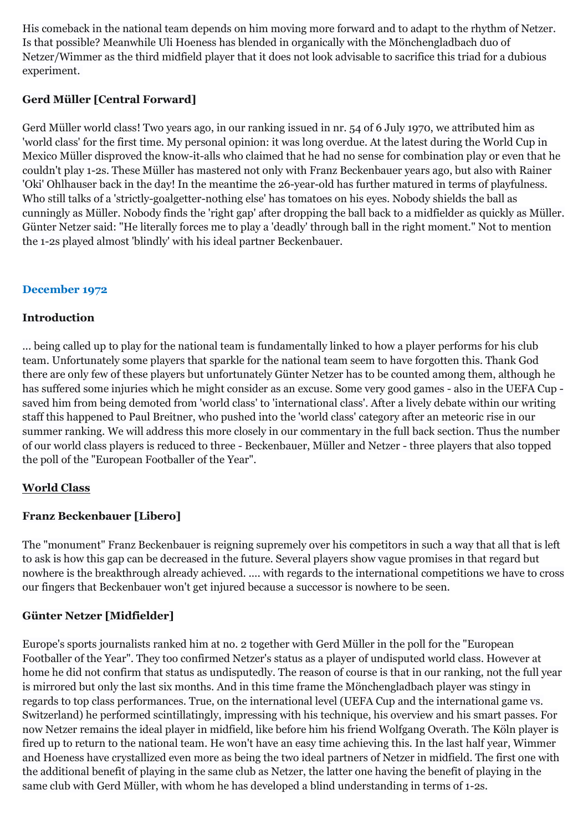His comeback in the national team depends on him moving more forward and to adapt to the rhythm of Netzer. Is that possible? Meanwhile Uli Hoeness has blended in organically with the Mönchengladbach duo of Netzer/Wimmer as the third midfield player that it does not look advisable to sacrifice this triad for a dubious experiment.

## **Gerd Müller [Central Forward]**

Gerd Müller world class! Two years ago, in our ranking issued in nr. 54 of 6 July 1970, we attributed him as 'world class' for the first time. My personal opinion: it was long overdue. At the latest during the World Cup in Mexico Müller disproved the know-it-alls who claimed that he had no sense for combination play or even that he couldn't play 1-2s. These Müller has mastered not only with Franz Beckenbauer years ago, but also with Rainer 'Oki' Ohlhauser back in the day! In the meantime the 26-year-old has further matured in terms of playfulness. Who still talks of a 'strictly-goalgetter-nothing else' has tomatoes on his eyes. Nobody shields the ball as cunningly as Müller. Nobody finds the 'right gap' after dropping the ball back to a midfielder as quickly as Müller. Günter Netzer said: "He literally forces me to play a 'deadly' through ball in the right moment." Not to mention the 1-2s played almost 'blindly' with his ideal partner Beckenbauer.

## **December 1972**

## **Introduction**

... being called up to play for the national team is fundamentally linked to how a player performs for his club team. Unfortunately some players that sparkle for the national team seem to have forgotten this. Thank God there are only few of these players but unfortunately Günter Netzer has to be counted among them, although he has suffered some injuries which he might consider as an excuse. Some very good games - also in the UEFA Cup saved him from being demoted from 'world class' to 'international class'. After a lively debate within our writing staff this happened to Paul Breitner, who pushed into the 'world class' category after an meteoric rise in our summer ranking. We will address this more closely in our commentary in the full back section. Thus the number of our world class players is reduced to three - Beckenbauer, Müller and Netzer - three players that also topped the poll of the "European Footballer of the Year".

## **World Class**

## **Franz Beckenbauer [Libero]**

The "monument" Franz Beckenbauer is reigning supremely over his competitors in such a way that all that is left to ask is how this gap can be decreased in the future. Several players show vague promises in that regard but nowhere is the breakthrough already achieved. .... with regards to the international competitions we have to cross our fingers that Beckenbauer won't get injured because a successor is nowhere to be seen.

## **Günter Netzer [Midfielder]**

Europe's sports journalists ranked him at no. 2 together with Gerd Müller in the poll for the "European Footballer of the Year". They too confirmed Netzer's status as a player of undisputed world class. However at home he did not confirm that status as undisputedly. The reason of course is that in our ranking, not the full year is mirrored but only the last six months. And in this time frame the Mönchengladbach player was stingy in regards to top class performances. True, on the international level (UEFA Cup and the international game vs. Switzerland) he performed scintillatingly, impressing with his technique, his overview and his smart passes. For now Netzer remains the ideal player in midfield, like before him his friend Wolfgang Overath. The Köln player is fired up to return to the national team. He won't have an easy time achieving this. In the last half year, Wimmer and Hoeness have crystallized even more as being the two ideal partners of Netzer in midfield. The first one with the additional benefit of playing in the same club as Netzer, the latter one having the benefit of playing in the same club with Gerd Müller, with whom he has developed a blind understanding in terms of 1-2s.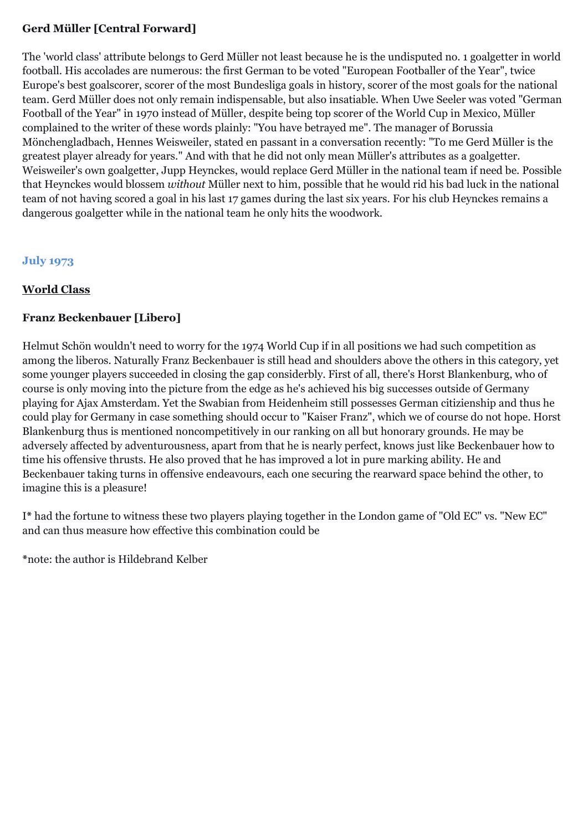## **Gerd Müller [Central Forward]**

The 'world class' attribute belongs to Gerd Müller not least because he is the undisputed no. 1 goalgetter in world football. His accolades are numerous: the first German to be voted "European Footballer of the Year", twice Europe's best goalscorer, scorer of the most Bundesliga goals in history, scorer of the most goals for the national team. Gerd Müller does not only remain indispensable, but also insatiable. When Uwe Seeler was voted "German Football of the Year" in 1970 instead of Müller, despite being top scorer of the World Cup in Mexico, Müller complained to the writer of these words plainly: "You have betrayed me". The manager of Borussia Mönchengladbach, Hennes Weisweiler, stated en passant in a conversation recently: "To me Gerd Müller is the greatest player already for years." And with that he did not only mean Müller's attributes as a goalgetter. Weisweiler's own goalgetter, Jupp Heynckes, would replace Gerd Müller in the national team if need be. Possible that Heynckes would blossem *without* Müller next to him, possible that he would rid his bad luck in the national team of not having scored a goal in his last 17 games during the last six years. For his club Heynckes remains a dangerous goalgetter while in the national team he only hits the woodwork.

## **July 1973**

## **World Class**

## **Franz Beckenbauer [Libero]**

Helmut Schön wouldn't need to worry for the 1974 World Cup if in all positions we had such competition as among the liberos. Naturally Franz Beckenbauer is still head and shoulders above the others in this category, yet some younger players succeeded in closing the gap considerbly. First of all, there's Horst Blankenburg, who of course is only moving into the picture from the edge as he's achieved his big successes outside of Germany playing for Ajax Amsterdam. Yet the Swabian from Heidenheim still possesses German citizienship and thus he could play for Germany in case something should occur to "Kaiser Franz", which we of course do not hope. Horst Blankenburg thus is mentioned noncompetitively in our ranking on all but honorary grounds. He may be adversely affected by adventurousness, apart from that he is nearly perfect, knows just like Beckenbauer how to time his offensive thrusts. He also proved that he has improved a lot in pure marking ability. He and Beckenbauer taking turns in offensive endeavours, each one securing the rearward space behind the other, to imagine this is a pleasure!

I**\*** had the fortune to witness these two players playing together in the London game of "Old EC" vs. "New EC" and can thus measure how effective this combination could be

**\***note: the author is Hildebrand Kelber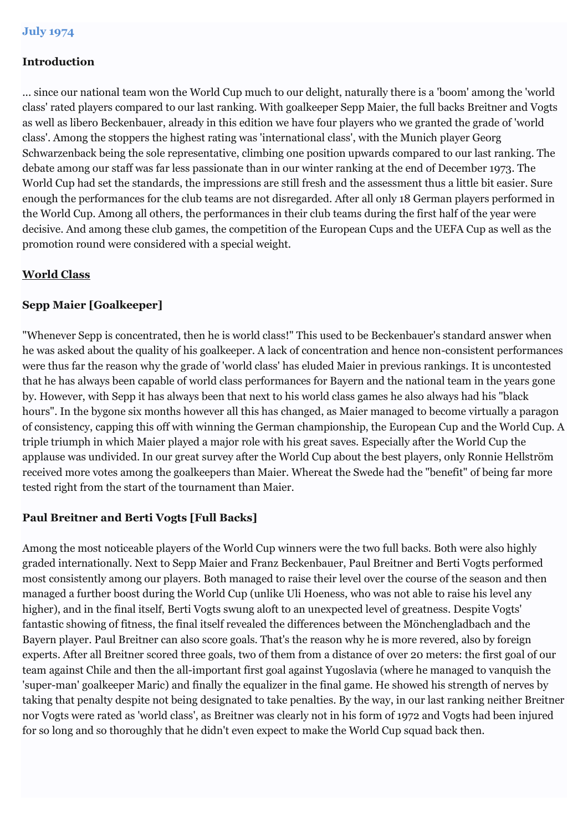## **Introduction**

... since our national team won the World Cup much to our delight, naturally there is a 'boom' among the 'world class' rated players compared to our last ranking. With goalkeeper Sepp Maier, the full backs Breitner and Vogts as well as libero Beckenbauer, already in this edition we have four players who we granted the grade of 'world class'. Among the stoppers the highest rating was 'international class', with the Munich player Georg Schwarzenback being the sole representative, climbing one position upwards compared to our last ranking. The debate among our staff was far less passionate than in our winter ranking at the end of December 1973. The World Cup had set the standards, the impressions are still fresh and the assessment thus a little bit easier. Sure enough the performances for the club teams are not disregarded. After all only 18 German players performed in the World Cup. Among all others, the performances in their club teams during the first half of the year were decisive. And among these club games, the competition of the European Cups and the UEFA Cup as well as the promotion round were considered with a special weight.

#### **World Class**

## **Sepp Maier [Goalkeeper]**

"Whenever Sepp is concentrated, then he is world class!" This used to be Beckenbauer's standard answer when he was asked about the quality of his goalkeeper. A lack of concentration and hence non-consistent performances were thus far the reason why the grade of 'world class' has eluded Maier in previous rankings. It is uncontested that he has always been capable of world class performances for Bayern and the national team in the years gone by. However, with Sepp it has always been that next to his world class games he also always had his "black hours". In the bygone six months however all this has changed, as Maier managed to become virtually a paragon of consistency, capping this off with winning the German championship, the European Cup and the World Cup. A triple triumph in which Maier played a major role with his great saves. Especially after the World Cup the applause was undivided. In our great survey after the World Cup about the best players, only Ronnie Hellström received more votes among the goalkeepers than Maier. Whereat the Swede had the "benefit" of being far more tested right from the start of the tournament than Maier.

#### **Paul Breitner and Berti Vogts [Full Backs]**

Among the most noticeable players of the World Cup winners were the two full backs. Both were also highly graded internationally. Next to Sepp Maier and Franz Beckenbauer, Paul Breitner and Berti Vogts performed most consistently among our players. Both managed to raise their level over the course of the season and then managed a further boost during the World Cup (unlike Uli Hoeness, who was not able to raise his level any higher), and in the final itself, Berti Vogts swung aloft to an unexpected level of greatness. Despite Vogts' fantastic showing of fitness, the final itself revealed the differences between the Mönchengladbach and the Bayern player. Paul Breitner can also score goals. That's the reason why he is more revered, also by foreign experts. After all Breitner scored three goals, two of them from a distance of over 20 meters: the first goal of our team against Chile and then the all-important first goal against Yugoslavia (where he managed to vanquish the 'super-man' goalkeeper Maric) and finally the equalizer in the final game. He showed his strength of nerves by taking that penalty despite not being designated to take penalties. By the way, in our last ranking neither Breitner nor Vogts were rated as 'world class', as Breitner was clearly not in his form of 1972 and Vogts had been injured for so long and so thoroughly that he didn't even expect to make the World Cup squad back then.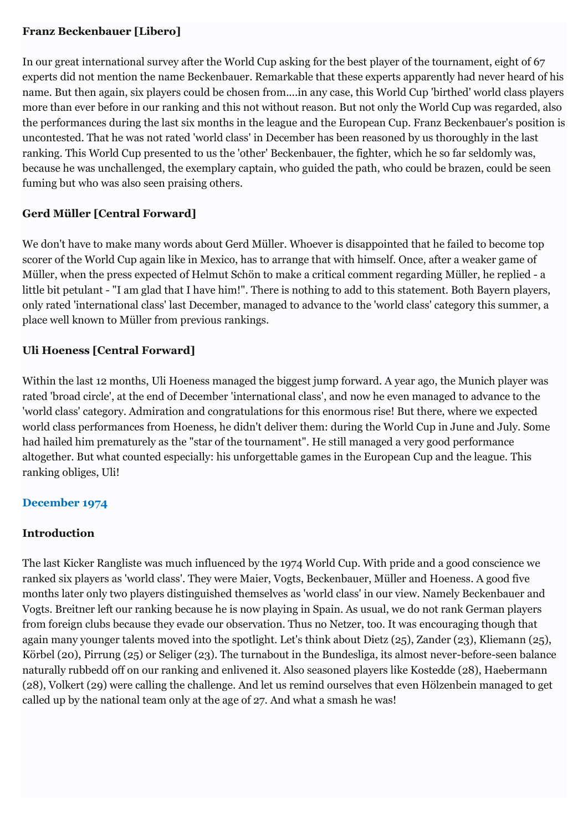## **Franz Beckenbauer [Libero]**

In our great international survey after the World Cup asking for the best player of the tournament, eight of 67 experts did not mention the name Beckenbauer. Remarkable that these experts apparently had never heard of his name. But then again, six players could be chosen from....in any case, this World Cup 'birthed' world class players more than ever before in our ranking and this not without reason. But not only the World Cup was regarded, also the performances during the last six months in the league and the European Cup. Franz Beckenbauer's position is uncontested. That he was not rated 'world class' in December has been reasoned by us thoroughly in the last ranking. This World Cup presented to us the 'other' Beckenbauer, the fighter, which he so far seldomly was, because he was unchallenged, the exemplary captain, who guided the path, who could be brazen, could be seen fuming but who was also seen praising others.

# **Gerd Müller [Central Forward]**

We don't have to make many words about Gerd Müller. Whoever is disappointed that he failed to become top scorer of the World Cup again like in Mexico, has to arrange that with himself. Once, after a weaker game of Müller, when the press expected of Helmut Schön to make a critical comment regarding Müller, he replied - a little bit petulant - "I am glad that I have him!". There is nothing to add to this statement. Both Bayern players, only rated 'international class' last December, managed to advance to the 'world class' category this summer, a place well known to Müller from previous rankings.

# **Uli Hoeness [Central Forward]**

Within the last 12 months, Uli Hoeness managed the biggest jump forward. A year ago, the Munich player was rated 'broad circle', at the end of December 'international class', and now he even managed to advance to the 'world class' category. Admiration and congratulations for this enormous rise! But there, where we expected world class performances from Hoeness, he didn't deliver them: during the World Cup in June and July. Some had hailed him prematurely as the "star of the tournament". He still managed a very good performance altogether. But what counted especially: his unforgettable games in the European Cup and the league. This ranking obliges, Uli!

## **December 1974**

## **Introduction**

The last Kicker Rangliste was much influenced by the 1974 World Cup. With pride and a good conscience we ranked six players as 'world class'. They were Maier, Vogts, Beckenbauer, Müller and Hoeness. A good five months later only two players distinguished themselves as 'world class' in our view. Namely Beckenbauer and Vogts. Breitner left our ranking because he is now playing in Spain. As usual, we do not rank German players from foreign clubs because they evade our observation. Thus no Netzer, too. It was encouraging though that again many younger talents moved into the spotlight. Let's think about Dietz (25), Zander (23), Kliemann (25), Körbel (20), Pirrung (25) or Seliger (23). The turnabout in the Bundesliga, its almost never-before-seen balance naturally rubbedd off on our ranking and enlivened it. Also seasoned players like Kostedde (28), Haebermann (28), Volkert (29) were calling the challenge. And let us remind ourselves that even Hölzenbein managed to get called up by the national team only at the age of 27. And what a smash he was!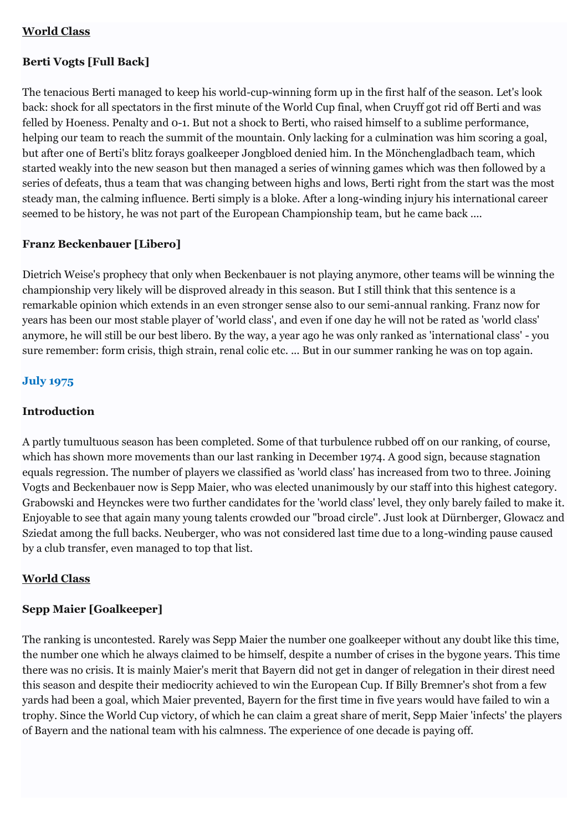## **World Class**

## **Berti Vogts [Full Back]**

The tenacious Berti managed to keep his world-cup-winning form up in the first half of the season. Let's look back: shock for all spectators in the first minute of the World Cup final, when Cruyff got rid off Berti and was felled by Hoeness. Penalty and 0-1. But not a shock to Berti, who raised himself to a sublime performance, helping our team to reach the summit of the mountain. Only lacking for a culmination was him scoring a goal, but after one of Berti's blitz forays goalkeeper Jongbloed denied him. In the Mönchengladbach team, which started weakly into the new season but then managed a series of winning games which was then followed by a series of defeats, thus a team that was changing between highs and lows, Berti right from the start was the most steady man, the calming influence. Berti simply is a bloke. After a long-winding injury his international career seemed to be history, he was not part of the European Championship team, but he came back ....

## **Franz Beckenbauer [Libero]**

Dietrich Weise's prophecy that only when Beckenbauer is not playing anymore, other teams will be winning the championship very likely will be disproved already in this season. But I still think that this sentence is a remarkable opinion which extends in an even stronger sense also to our semi-annual ranking. Franz now for years has been our most stable player of 'world class', and even if one day he will not be rated as 'world class' anymore, he will still be our best libero. By the way, a year ago he was only ranked as 'international class' - you sure remember: form crisis, thigh strain, renal colic etc. ... But in our summer ranking he was on top again.

## **July 1975**

#### **Introduction**

A partly tumultuous season has been completed. Some of that turbulence rubbed off on our ranking, of course, which has shown more movements than our last ranking in December 1974. A good sign, because stagnation equals regression. The number of players we classified as 'world class' has increased from two to three. Joining Vogts and Beckenbauer now is Sepp Maier, who was elected unanimously by our staff into this highest category. Grabowski and Heynckes were two further candidates for the 'world class' level, they only barely failed to make it. Enjoyable to see that again many young talents crowded our "broad circle". Just look at Dürnberger, Glowacz and Sziedat among the full backs. Neuberger, who was not considered last time due to a long-winding pause caused by a club transfer, even managed to top that list.

#### **World Class**

#### **Sepp Maier [Goalkeeper]**

The ranking is uncontested. Rarely was Sepp Maier the number one goalkeeper without any doubt like this time, the number one which he always claimed to be himself, despite a number of crises in the bygone years. This time there was no crisis. It is mainly Maier's merit that Bayern did not get in danger of relegation in their direst need this season and despite their mediocrity achieved to win the European Cup. If Billy Bremner's shot from a few yards had been a goal, which Maier prevented, Bayern for the first time in five years would have failed to win a trophy. Since the World Cup victory, of which he can claim a great share of merit, Sepp Maier 'infects' the players of Bayern and the national team with his calmness. The experience of one decade is paying off.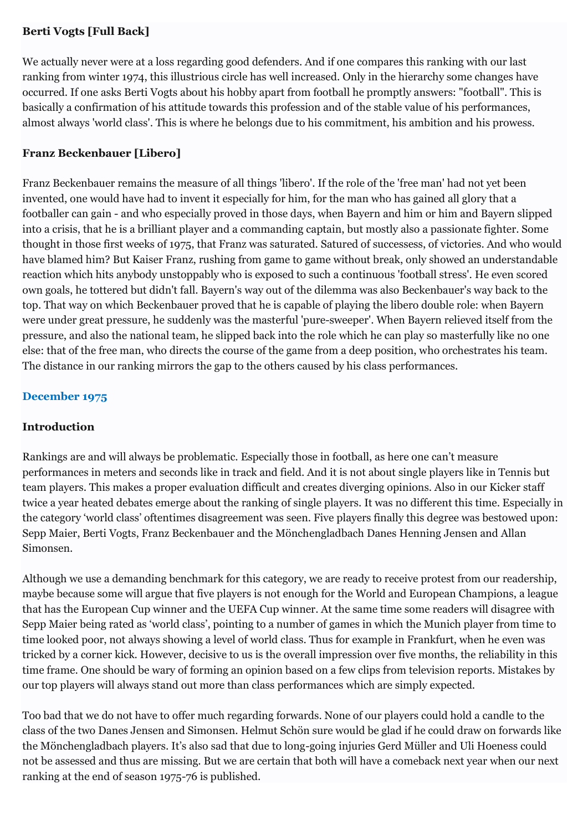## **Berti Vogts [Full Back]**

We actually never were at a loss regarding good defenders. And if one compares this ranking with our last ranking from winter 1974, this illustrious circle has well increased. Only in the hierarchy some changes have occurred. If one asks Berti Vogts about his hobby apart from football he promptly answers: "football". This is basically a confirmation of his attitude towards this profession and of the stable value of his performances, almost always 'world class'. This is where he belongs due to his commitment, his ambition and his prowess.

## **Franz Beckenbauer [Libero]**

Franz Beckenbauer remains the measure of all things 'libero'. If the role of the 'free man' had not yet been invented, one would have had to invent it especially for him, for the man who has gained all glory that a footballer can gain - and who especially proved in those days, when Bayern and him or him and Bayern slipped into a crisis, that he is a brilliant player and a commanding captain, but mostly also a passionate fighter. Some thought in those first weeks of 1975, that Franz was saturated. Satured of successess, of victories. And who would have blamed him? But Kaiser Franz, rushing from game to game without break, only showed an understandable reaction which hits anybody unstoppably who is exposed to such a continuous 'football stress'. He even scored own goals, he tottered but didn't fall. Bayern's way out of the dilemma was also Beckenbauer's way back to the top. That way on which Beckenbauer proved that he is capable of playing the libero double role: when Bayern were under great pressure, he suddenly was the masterful 'pure-sweeper'. When Bayern relieved itself from the pressure, and also the national team, he slipped back into the role which he can play so masterfully like no one else: that of the free man, who directs the course of the game from a deep position, who orchestrates his team. The distance in our ranking mirrors the gap to the others caused by his class performances.

## **December 1975**

## **Introduction**

Rankings are and will always be problematic. Especially those in football, as here one can't measure performances in meters and seconds like in track and field. And it is not about single players like in Tennis but team players. This makes a proper evaluation difficult and creates diverging opinions. Also in our Kicker staff twice a year heated debates emerge about the ranking of single players. It was no different this time. Especially in the category 'world class' oftentimes disagreement was seen. Five players finally this degree was bestowed upon: Sepp Maier, Berti Vogts, Franz Beckenbauer and the Mönchengladbach Danes Henning Jensen and Allan Simonsen.

Although we use a demanding benchmark for this category, we are ready to receive protest from our readership, maybe because some will argue that five players is not enough for the World and European Champions, a league that has the European Cup winner and the UEFA Cup winner. At the same time some readers will disagree with Sepp Maier being rated as 'world class', pointing to a number of games in which the Munich player from time to time looked poor, not always showing a level of world class. Thus for example in Frankfurt, when he even was tricked by a corner kick. However, decisive to us is the overall impression over five months, the reliability in this time frame. One should be wary of forming an opinion based on a few clips from television reports. Mistakes by our top players will always stand out more than class performances which are simply expected.

Too bad that we do not have to offer much regarding forwards. None of our players could hold a candle to the class of the two Danes Jensen and Simonsen. Helmut Schön sure would be glad if he could draw on forwards like the Mönchengladbach players. It's also sad that due to long-going injuries Gerd Müller and Uli Hoeness could not be assessed and thus are missing. But we are certain that both will have a comeback next year when our next ranking at the end of season 1975-76 is published.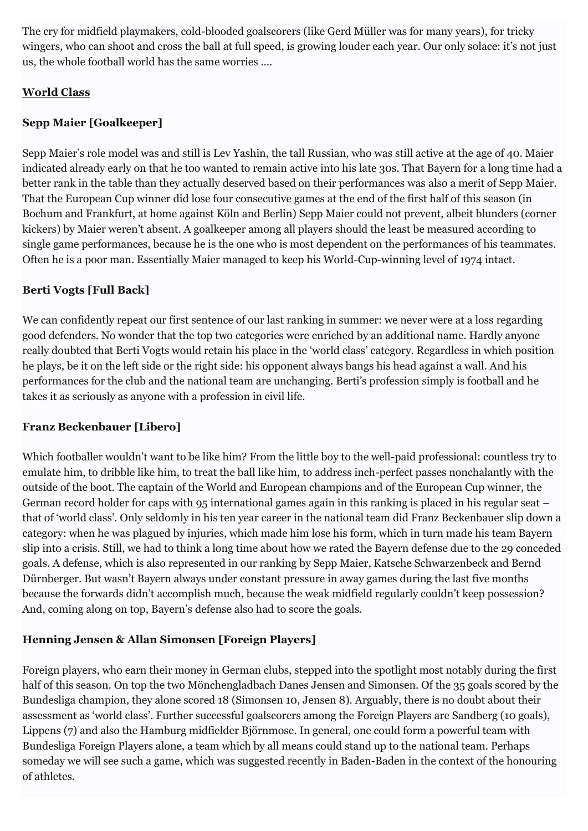The cry for midfield playmakers, cold-blooded goalscorers (like Gerd Müller was for many years), for tricky wingers, who can shoot and cross the ball at full speed, is growing louder each year. Our only solace: it's not just us, the whole football world has the same worries ….

## **World Class**

# **Sepp Maier [Goalkeeper]**

Sepp Maier's role model was and still is Lev Yashin, the tall Russian, who was still active at the age of 40. Maier indicated already early on that he too wanted to remain active into his late 30s. That Bayern for a long time had a better rank in the table than they actually deserved based on their performances was also a merit of Sepp Maier. That the European Cup winner did lose four consecutive games at the end of the first half of this season (in Bochum and Frankfurt, at home against Köln and Berlin) Sepp Maier could not prevent, albeit blunders (corner kickers) by Maier weren't absent. A goalkeeper among all players should the least be measured according to single game performances, because he is the one who is most dependent on the performances of his teammates. Often he is a poor man. Essentially Maier managed to keep his World-Cup-winning level of 1974 intact.

# **Berti Vogts [Full Back]**

We can confidently repeat our first sentence of our last ranking in summer: we never were at a loss regarding good defenders. No wonder that the top two categories were enriched by an additional name. Hardly anyone really doubted that Berti Vogts would retain his place in the 'world class' category. Regardless in which position he plays, be it on the left side or the right side: his opponent always bangs his head against a wall. And his performances for the club and the national team are unchanging. Berti's profession simply is football and he takes it as seriously as anyone with a profession in civil life.

# **Franz Beckenbauer [Libero]**

Which footballer wouldn't want to be like him? From the little boy to the well-paid professional: countless try to emulate him, to dribble like him, to treat the ball like him, to address inch-perfect passes nonchalantly with the outside of the boot. The captain of the World and European champions and of the European Cup winner, the German record holder for caps with 95 international games again in this ranking is placed in his regular seat – that of 'world class'. Only seldomly in his ten year career in the national team did Franz Beckenbauer slip down a category: when he was plagued by injuries, which made him lose his form, which in turn made his team Bayern slip into a crisis. Still, we had to think a long time about how we rated the Bayern defense due to the 29 conceded goals. A defense, which is also represented in our ranking by Sepp Maier, Katsche Schwarzenbeck and Bernd Dürnberger. But wasn't Bayern always under constant pressure in away games during the last five months because the forwards didn't accomplish much, because the weak midfield regularly couldn't keep possession? And, coming along on top, Bayern's defense also had to score the goals.

# **Henning Jensen & Allan Simonsen [Foreign Players]**

Foreign players, who earn their money in German clubs, stepped into the spotlight most notably during the first half of this season. On top the two Mönchengladbach Danes Jensen and Simonsen. Of the 35 goals scored by the Bundesliga champion, they alone scored 18 (Simonsen 10, Jensen 8). Arguably, there is no doubt about their assessment as 'world class'. Further successful goalscorers among the Foreign Players are Sandberg (10 goals), Lippens (7) and also the Hamburg midfielder Björnmose. In general, one could form a powerful team with Bundesliga Foreign Players alone, a team which by all means could stand up to the national team. Perhaps someday we will see such a game, which was suggested recently in Baden-Baden in the context of the honouring of athletes.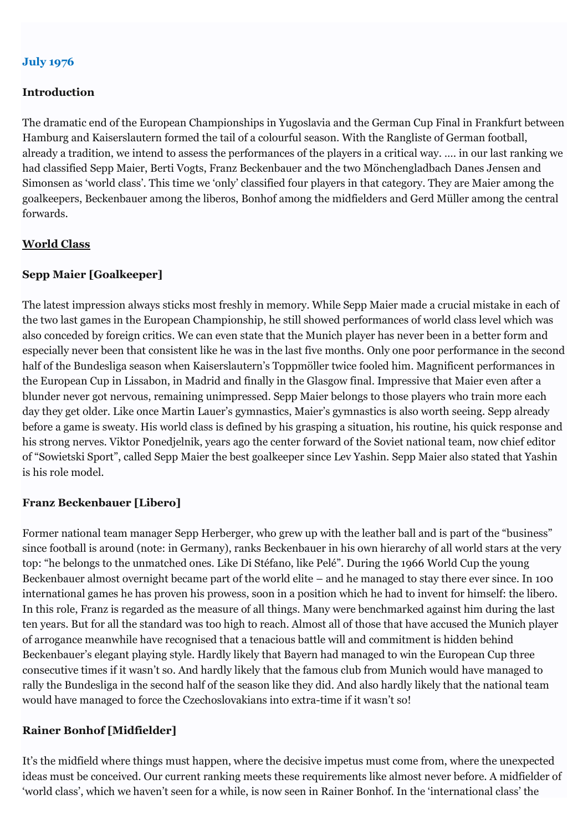### **Introduction**

The dramatic end of the European Championships in Yugoslavia and the German Cup Final in Frankfurt between Hamburg and Kaiserslautern formed the tail of a colourful season. With the Rangliste of German football, already a tradition, we intend to assess the performances of the players in a critical way. …. in our last ranking we had classified Sepp Maier, Berti Vogts, Franz Beckenbauer and the two Mönchengladbach Danes Jensen and Simonsen as 'world class'. This time we 'only' classified four players in that category. They are Maier among the goalkeepers, Beckenbauer among the liberos, Bonhof among the midfielders and Gerd Müller among the central forwards.

#### **World Class**

## **Sepp Maier [Goalkeeper]**

The latest impression always sticks most freshly in memory. While Sepp Maier made a crucial mistake in each of the two last games in the European Championship, he still showed performances of world class level which was also conceded by foreign critics. We can even state that the Munich player has never been in a better form and especially never been that consistent like he was in the last five months. Only one poor performance in the second half of the Bundesliga season when Kaiserslautern's Toppmöller twice fooled him. Magnificent performances in the European Cup in Lissabon, in Madrid and finally in the Glasgow final. Impressive that Maier even after a blunder never got nervous, remaining unimpressed. Sepp Maier belongs to those players who train more each day they get older. Like once Martin Lauer's gymnastics, Maier's gymnastics is also worth seeing. Sepp already before a game is sweaty. His world class is defined by his grasping a situation, his routine, his quick response and his strong nerves. Viktor Ponedjelnik, years ago the center forward of the Soviet national team, now chief editor of "Sowietski Sport", called Sepp Maier the best goalkeeper since Lev Yashin. Sepp Maier also stated that Yashin is his role model.

## **Franz Beckenbauer [Libero]**

Former national team manager Sepp Herberger, who grew up with the leather ball and is part of the "business" since football is around (note: in Germany), ranks Beckenbauer in his own hierarchy of all world stars at the very top: "he belongs to the unmatched ones. Like Di Stéfano, like Pelé". During the 1966 World Cup the young Beckenbauer almost overnight became part of the world elite – and he managed to stay there ever since. In 100 international games he has proven his prowess, soon in a position which he had to invent for himself: the libero. In this role, Franz is regarded as the measure of all things. Many were benchmarked against him during the last ten years. But for all the standard was too high to reach. Almost all of those that have accused the Munich player of arrogance meanwhile have recognised that a tenacious battle will and commitment is hidden behind Beckenbauer's elegant playing style. Hardly likely that Bayern had managed to win the European Cup three consecutive times if it wasn't so. And hardly likely that the famous club from Munich would have managed to rally the Bundesliga in the second half of the season like they did. And also hardly likely that the national team would have managed to force the Czechoslovakians into extra-time if it wasn't so!

## **Rainer Bonhof [Midfielder]**

It's the midfield where things must happen, where the decisive impetus must come from, where the unexpected ideas must be conceived. Our current ranking meets these requirements like almost never before. A midfielder of 'world class', which we haven't seen for a while, is now seen in Rainer Bonhof. In the 'international class' the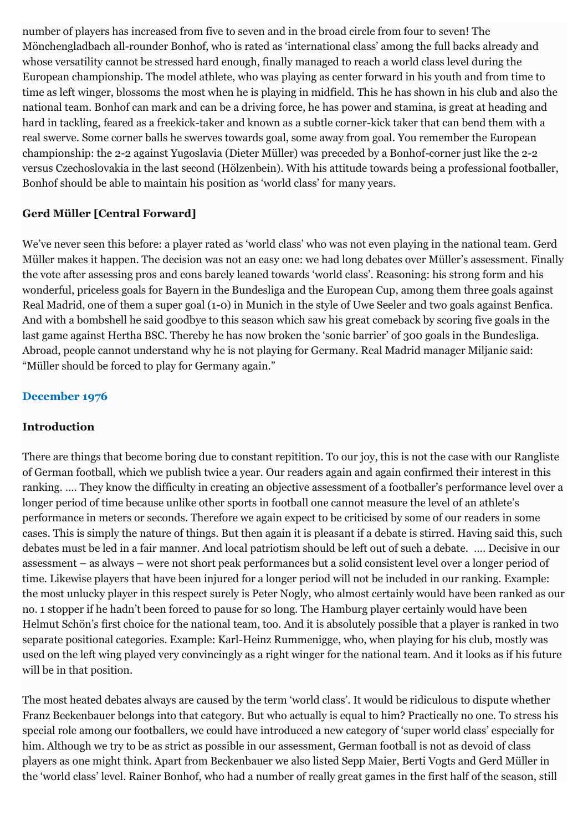number of players has increased from five to seven and in the broad circle from four to seven! The Mönchengladbach all-rounder Bonhof, who is rated as 'international class' among the full backs already and whose versatility cannot be stressed hard enough, finally managed to reach a world class level during the European championship. The model athlete, who was playing as center forward in his youth and from time to time as left winger, blossoms the most when he is playing in midfield. This he has shown in his club and also the national team. Bonhof can mark and can be a driving force, he has power and stamina, is great at heading and hard in tackling, feared as a freekick-taker and known as a subtle corner-kick taker that can bend them with a real swerve. Some corner balls he swerves towards goal, some away from goal. You remember the European championship: the 2-2 against Yugoslavia (Dieter Müller) was preceded by a Bonhof-corner just like the 2-2 versus Czechoslovakia in the last second (Hölzenbein). With his attitude towards being a professional footballer, Bonhof should be able to maintain his position as 'world class' for many years.

## **Gerd Müller [Central Forward]**

We've never seen this before: a player rated as 'world class' who was not even playing in the national team. Gerd Müller makes it happen. The decision was not an easy one: we had long debates over Müller's assessment. Finally the vote after assessing pros and cons barely leaned towards 'world class'. Reasoning: his strong form and his wonderful, priceless goals for Bayern in the Bundesliga and the European Cup, among them three goals against Real Madrid, one of them a super goal (1-0) in Munich in the style of Uwe Seeler and two goals against Benfica. And with a bombshell he said goodbye to this season which saw his great comeback by scoring five goals in the last game against Hertha BSC. Thereby he has now broken the 'sonic barrier' of 300 goals in the Bundesliga. Abroad, people cannot understand why he is not playing for Germany. Real Madrid manager Miljanic said: "Müller should be forced to play for Germany again."

## **December 1976**

## **Introduction**

There are things that become boring due to constant repitition. To our joy, this is not the case with our Rangliste of German football, which we publish twice a year. Our readers again and again confirmed their interest in this ranking. …. They know the difficulty in creating an objective assessment of a footballer's performance level over a longer period of time because unlike other sports in football one cannot measure the level of an athlete's performance in meters or seconds. Therefore we again expect to be criticised by some of our readers in some cases. This is simply the nature of things. But then again it is pleasant if a debate is stirred. Having said this, such debates must be led in a fair manner. And local patriotism should be left out of such a debate. …. Decisive in our assessment – as always – were not short peak performances but a solid consistent level over a longer period of time. Likewise players that have been injured for a longer period will not be included in our ranking. Example: the most unlucky player in this respect surely is Peter Nogly, who almost certainly would have been ranked as our no. 1 stopper if he hadn't been forced to pause for so long. The Hamburg player certainly would have been Helmut Schön's first choice for the national team, too. And it is absolutely possible that a player is ranked in two separate positional categories. Example: Karl-Heinz Rummenigge, who, when playing for his club, mostly was used on the left wing played very convincingly as a right winger for the national team. And it looks as if his future will be in that position.

The most heated debates always are caused by the term 'world class'. It would be ridiculous to dispute whether Franz Beckenbauer belongs into that category. But who actually is equal to him? Practically no one. To stress his special role among our footballers, we could have introduced a new category of 'super world class' especially for him. Although we try to be as strict as possible in our assessment, German football is not as devoid of class players as one might think. Apart from Beckenbauer we also listed Sepp Maier, Berti Vogts and Gerd Müller in the 'world class' level. Rainer Bonhof, who had a number of really great games in the first half of the season, still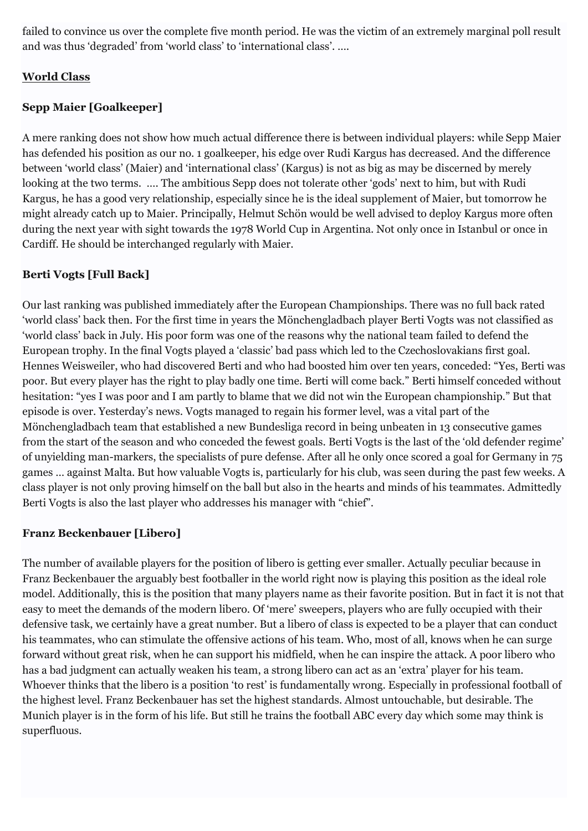failed to convince us over the complete five month period. He was the victim of an extremely marginal poll result and was thus 'degraded' from 'world class' to 'international class'. ….

## **World Class**

## **Sepp Maier [Goalkeeper]**

A mere ranking does not show how much actual difference there is between individual players: while Sepp Maier has defended his position as our no. 1 goalkeeper, his edge over Rudi Kargus has decreased. And the difference between 'world class' (Maier) and 'international class' (Kargus) is not as big as may be discerned by merely looking at the two terms. …. The ambitious Sepp does not tolerate other 'gods' next to him, but with Rudi Kargus, he has a good very relationship, especially since he is the ideal supplement of Maier, but tomorrow he might already catch up to Maier. Principally, Helmut Schön would be well advised to deploy Kargus more often during the next year with sight towards the 1978 World Cup in Argentina. Not only once in Istanbul or once in Cardiff. He should be interchanged regularly with Maier.

## **Berti Vogts [Full Back]**

Our last ranking was published immediately after the European Championships. There was no full back rated 'world class' back then. For the first time in years the Mönchengladbach player Berti Vogts was not classified as 'world class' back in July. His poor form was one of the reasons why the national team failed to defend the European trophy. In the final Vogts played a 'classic' bad pass which led to the Czechoslovakians first goal. Hennes Weisweiler, who had discovered Berti and who had boosted him over ten years, conceded: "Yes, Berti was poor. But every player has the right to play badly one time. Berti will come back." Berti himself conceded without hesitation: "yes I was poor and I am partly to blame that we did not win the European championship." But that episode is over. Yesterday's news. Vogts managed to regain his former level, was a vital part of the Mönchengladbach team that established a new Bundesliga record in being unbeaten in 13 consecutive games from the start of the season and who conceded the fewest goals. Berti Vogts is the last of the 'old defender regime' of unyielding man-markers, the specialists of pure defense. After all he only once scored a goal for Germany in 75 games … against Malta. But how valuable Vogts is, particularly for his club, was seen during the past few weeks. A class player is not only proving himself on the ball but also in the hearts and minds of his teammates. Admittedly Berti Vogts is also the last player who addresses his manager with "chief".

## **Franz Beckenbauer [Libero]**

The number of available players for the position of libero is getting ever smaller. Actually peculiar because in Franz Beckenbauer the arguably best footballer in the world right now is playing this position as the ideal role model. Additionally, this is the position that many players name as their favorite position. But in fact it is not that easy to meet the demands of the modern libero. Of 'mere' sweepers, players who are fully occupied with their defensive task, we certainly have a great number. But a libero of class is expected to be a player that can conduct his teammates, who can stimulate the offensive actions of his team. Who, most of all, knows when he can surge forward without great risk, when he can support his midfield, when he can inspire the attack. A poor libero who has a bad judgment can actually weaken his team, a strong libero can act as an 'extra' player for his team. Whoever thinks that the libero is a position 'to rest' is fundamentally wrong. Especially in professional football of the highest level. Franz Beckenbauer has set the highest standards. Almost untouchable, but desirable. The Munich player is in the form of his life. But still he trains the football ABC every day which some may think is superfluous.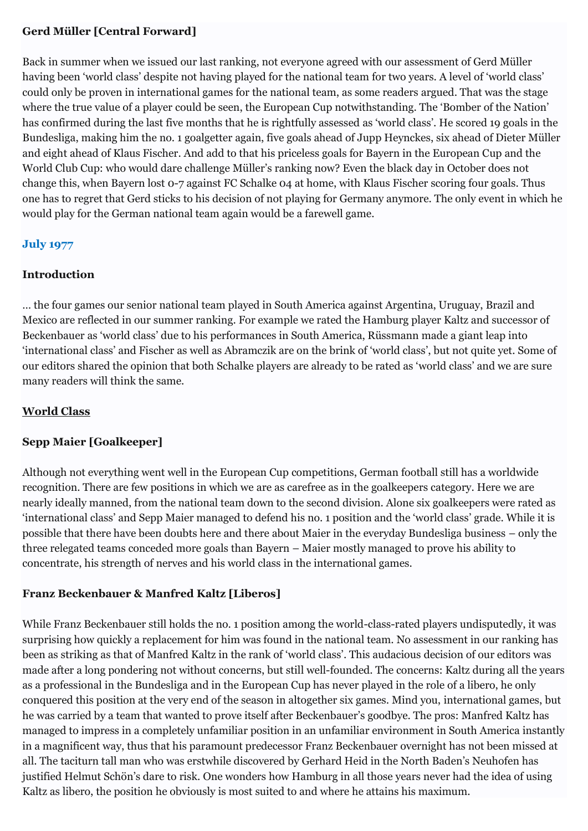## **Gerd Müller [Central Forward]**

Back in summer when we issued our last ranking, not everyone agreed with our assessment of Gerd Müller having been 'world class' despite not having played for the national team for two years. A level of 'world class' could only be proven in international games for the national team, as some readers argued. That was the stage where the true value of a player could be seen, the European Cup notwithstanding. The 'Bomber of the Nation' has confirmed during the last five months that he is rightfully assessed as 'world class'. He scored 19 goals in the Bundesliga, making him the no. 1 goalgetter again, five goals ahead of Jupp Heynckes, six ahead of Dieter Müller and eight ahead of Klaus Fischer. And add to that his priceless goals for Bayern in the European Cup and the World Club Cup: who would dare challenge Müller's ranking now? Even the black day in October does not change this, when Bayern lost 0-7 against FC Schalke 04 at home, with Klaus Fischer scoring four goals. Thus one has to regret that Gerd sticks to his decision of not playing for Germany anymore. The only event in which he would play for the German national team again would be a farewell game.

## **July 1977**

## **Introduction**

… the four games our senior national team played in South America against Argentina, Uruguay, Brazil and Mexico are reflected in our summer ranking. For example we rated the Hamburg player Kaltz and successor of Beckenbauer as 'world class' due to his performances in South America, Rüssmann made a giant leap into 'international class' and Fischer as well as Abramczik are on the brink of 'world class', but not quite yet. Some of our editors shared the opinion that both Schalke players are already to be rated as 'world class' and we are sure many readers will think the same.

## **World Class**

## **Sepp Maier [Goalkeeper]**

Although not everything went well in the European Cup competitions, German football still has a worldwide recognition. There are few positions in which we are as carefree as in the goalkeepers category. Here we are nearly ideally manned, from the national team down to the second division. Alone six goalkeepers were rated as 'international class' and Sepp Maier managed to defend his no. 1 position and the 'world class' grade. While it is possible that there have been doubts here and there about Maier in the everyday Bundesliga business – only the three relegated teams conceded more goals than Bayern – Maier mostly managed to prove his ability to concentrate, his strength of nerves and his world class in the international games.

## **Franz Beckenbauer & Manfred Kaltz [Liberos]**

While Franz Beckenbauer still holds the no. 1 position among the world-class-rated players undisputedly, it was surprising how quickly a replacement for him was found in the national team. No assessment in our ranking has been as striking as that of Manfred Kaltz in the rank of 'world class'. This audacious decision of our editors was made after a long pondering not without concerns, but still well-founded. The concerns: Kaltz during all the years as a professional in the Bundesliga and in the European Cup has never played in the role of a libero, he only conquered this position at the very end of the season in altogether six games. Mind you, international games, but he was carried by a team that wanted to prove itself after Beckenbauer's goodbye. The pros: Manfred Kaltz has managed to impress in a completely unfamiliar position in an unfamiliar environment in South America instantly in a magnificent way, thus that his paramount predecessor Franz Beckenbauer overnight has not been missed at all. The taciturn tall man who was erstwhile discovered by Gerhard Heid in the North Baden's Neuhofen has justified Helmut Schön's dare to risk. One wonders how Hamburg in all those years never had the idea of using Kaltz as libero, the position he obviously is most suited to and where he attains his maximum.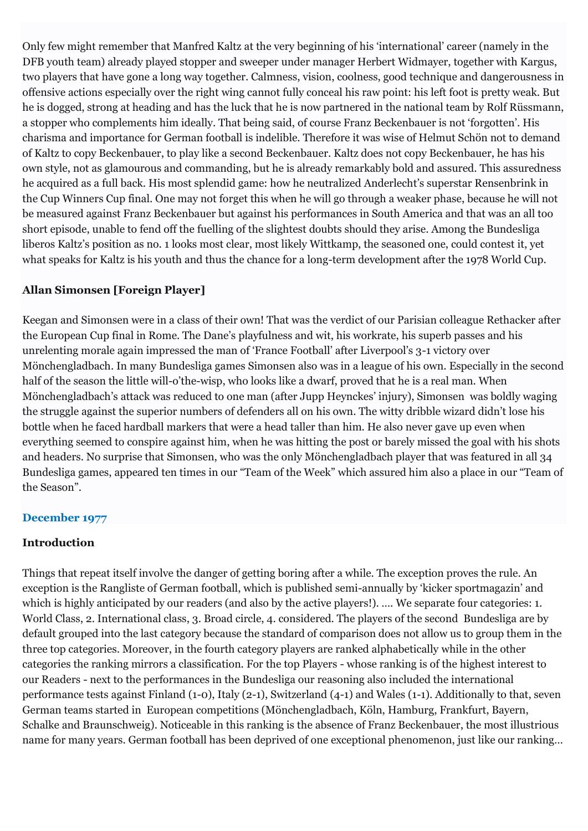Only few might remember that Manfred Kaltz at the very beginning of his 'international' career (namely in the DFB youth team) already played stopper and sweeper under manager Herbert Widmayer, together with Kargus, two players that have gone a long way together. Calmness, vision, coolness, good technique and dangerousness in offensive actions especially over the right wing cannot fully conceal his raw point: his left foot is pretty weak. But he is dogged, strong at heading and has the luck that he is now partnered in the national team by Rolf Rüssmann, a stopper who complements him ideally. That being said, of course Franz Beckenbauer is not 'forgotten'. His charisma and importance for German football is indelible. Therefore it was wise of Helmut Schön not to demand of Kaltz to copy Beckenbauer, to play like a second Beckenbauer. Kaltz does not copy Beckenbauer, he has his own style, not as glamourous and commanding, but he is already remarkably bold and assured. This assuredness he acquired as a full back. His most splendid game: how he neutralized Anderlecht's superstar Rensenbrink in the Cup Winners Cup final. One may not forget this when he will go through a weaker phase, because he will not be measured against Franz Beckenbauer but against his performances in South America and that was an all too short episode, unable to fend off the fuelling of the slightest doubts should they arise. Among the Bundesliga liberos Kaltz's position as no. 1 looks most clear, most likely Wittkamp, the seasoned one, could contest it, yet what speaks for Kaltz is his youth and thus the chance for a long-term development after the 1978 World Cup.

## **Allan Simonsen [Foreign Player]**

Keegan and Simonsen were in a class of their own! That was the verdict of our Parisian colleague Rethacker after the European Cup final in Rome. The Dane's playfulness and wit, his workrate, his superb passes and his unrelenting morale again impressed the man of 'France Football' after Liverpool's 3-1 victory over Mönchengladbach. In many Bundesliga games Simonsen also was in a league of his own. Especially in the second half of the season the little will-o'the-wisp, who looks like a dwarf, proved that he is a real man. When Mönchengladbach's attack was reduced to one man (after Jupp Heynckes' injury), Simonsen was boldly waging the struggle against the superior numbers of defenders all on his own. The witty dribble wizard didn't lose his bottle when he faced hardball markers that were a head taller than him. He also never gave up even when everything seemed to conspire against him, when he was hitting the post or barely missed the goal with his shots and headers. No surprise that Simonsen, who was the only Mönchengladbach player that was featured in all 34 Bundesliga games, appeared ten times in our "Team of the Week" which assured him also a place in our "Team of the Season".

## **December 1977**

## **Introduction**

Things that repeat itself involve the danger of getting boring after a while. The exception proves the rule. An exception is the Rangliste of German football, which is published semi-annually by 'kicker sportmagazin' and which is highly anticipated by our readers (and also by the active players!). …. We separate four categories: 1. World Class, 2. International class, 3. Broad circle, 4. considered. The players of the second Bundesliga are by default grouped into the last category because the standard of comparison does not allow us to group them in the three top categories. Moreover, in the fourth category players are ranked alphabetically while in the other categories the ranking mirrors a classification. For the top Players - whose ranking is of the highest interest to our Readers - next to the performances in the Bundesliga our reasoning also included the international performance tests against Finland (1-0), Italy (2-1), Switzerland (4-1) and Wales (1-1). Additionally to that, seven German teams started in European competitions (Mönchengladbach, Köln, Hamburg, Frankfurt, Bayern, Schalke and Braunschweig). Noticeable in this ranking is the absence of Franz Beckenbauer, the most illustrious name for many years. German football has been deprived of one exceptional phenomenon, just like our ranking…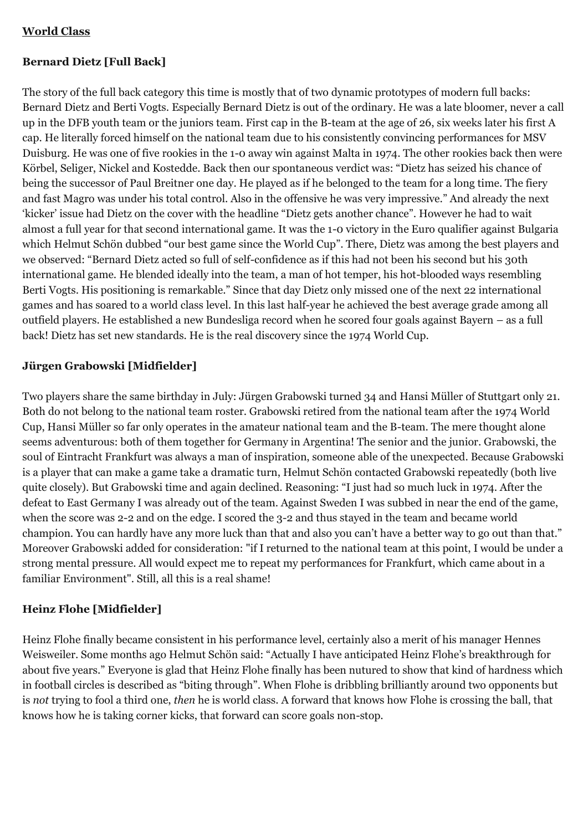## **World Class**

## **Bernard Dietz [Full Back]**

The story of the full back category this time is mostly that of two dynamic prototypes of modern full backs: Bernard Dietz and Berti Vogts. Especially Bernard Dietz is out of the ordinary. He was a late bloomer, never a call up in the DFB youth team or the juniors team. First cap in the B-team at the age of 26, six weeks later his first A cap. He literally forced himself on the national team due to his consistently convincing performances for MSV Duisburg. He was one of five rookies in the 1-0 away win against Malta in 1974. The other rookies back then were Körbel, Seliger, Nickel and Kostedde. Back then our spontaneous verdict was: "Dietz has seized his chance of being the successor of Paul Breitner one day. He played as if he belonged to the team for a long time. The fiery and fast Magro was under his total control. Also in the offensive he was very impressive." And already the next 'kicker' issue had Dietz on the cover with the headline "Dietz gets another chance". However he had to wait almost a full year for that second international game. It was the 1-0 victory in the Euro qualifier against Bulgaria which Helmut Schön dubbed "our best game since the World Cup". There, Dietz was among the best players and we observed: "Bernard Dietz acted so full of self-confidence as if this had not been his second but his 30th international game. He blended ideally into the team, a man of hot temper, his hot-blooded ways resembling Berti Vogts. His positioning is remarkable." Since that day Dietz only missed one of the next 22 international games and has soared to a world class level. In this last half-year he achieved the best average grade among all outfield players. He established a new Bundesliga record when he scored four goals against Bayern – as a full back! Dietz has set new standards. He is the real discovery since the 1974 World Cup.

## **Jürgen Grabowski [Midfielder]**

Two players share the same birthday in July: Jürgen Grabowski turned 34 and Hansi Müller of Stuttgart only 21. Both do not belong to the national team roster. Grabowski retired from the national team after the 1974 World Cup, Hansi Müller so far only operates in the amateur national team and the B-team. The mere thought alone seems adventurous: both of them together for Germany in Argentina! The senior and the junior. Grabowski, the soul of Eintracht Frankfurt was always a man of inspiration, someone able of the unexpected. Because Grabowski is a player that can make a game take a dramatic turn, Helmut Schön contacted Grabowski repeatedly (both live quite closely). But Grabowski time and again declined. Reasoning: "I just had so much luck in 1974. After the defeat to East Germany I was already out of the team. Against Sweden I was subbed in near the end of the game, when the score was 2-2 and on the edge. I scored the 3-2 and thus stayed in the team and became world champion. You can hardly have any more luck than that and also you can't have a better way to go out than that." Moreover Grabowski added for consideration: "if I returned to the national team at this point, I would be under a strong mental pressure. All would expect me to repeat my performances for Frankfurt, which came about in a familiar Environment". Still, all this is a real shame!

## **Heinz Flohe [Midfielder]**

Heinz Flohe finally became consistent in his performance level, certainly also a merit of his manager Hennes Weisweiler. Some months ago Helmut Schön said: "Actually I have anticipated Heinz Flohe's breakthrough for about five years." Everyone is glad that Heinz Flohe finally has been nutured to show that kind of hardness which in football circles is described as "biting through". When Flohe is dribbling brilliantly around two opponents but is *not* trying to fool a third one, *then* he is world class. A forward that knows how Flohe is crossing the ball, that knows how he is taking corner kicks, that forward can score goals non-stop.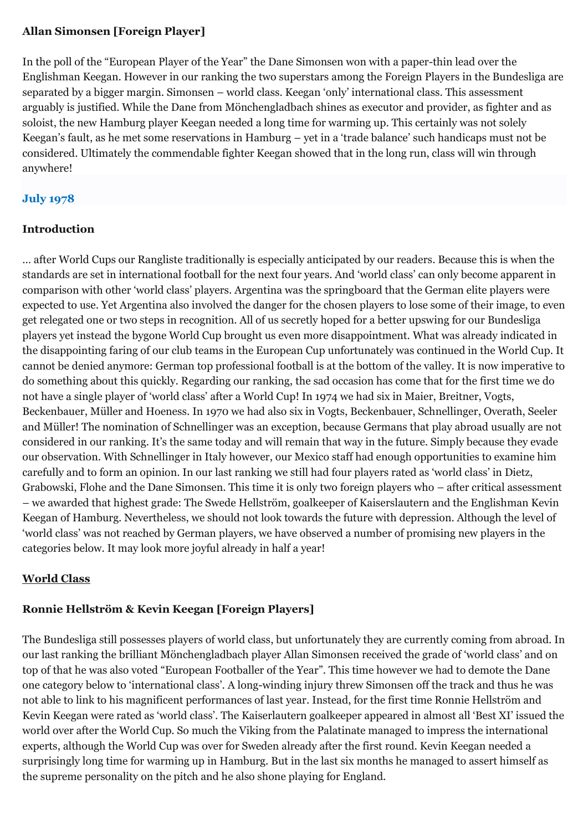## **Allan Simonsen [Foreign Player]**

In the poll of the "European Player of the Year" the Dane Simonsen won with a paper-thin lead over the Englishman Keegan. However in our ranking the two superstars among the Foreign Players in the Bundesliga are separated by a bigger margin. Simonsen – world class. Keegan 'only' international class. This assessment arguably is justified. While the Dane from Mönchengladbach shines as executor and provider, as fighter and as soloist, the new Hamburg player Keegan needed a long time for warming up. This certainly was not solely Keegan's fault, as he met some reservations in Hamburg – yet in a 'trade balance' such handicaps must not be considered. Ultimately the commendable fighter Keegan showed that in the long run, class will win through anywhere!

## **July 1978**

## **Introduction**

… after World Cups our Rangliste traditionally is especially anticipated by our readers. Because this is when the standards are set in international football for the next four years. And 'world class' can only become apparent in comparison with other 'world class' players. Argentina was the springboard that the German elite players were expected to use. Yet Argentina also involved the danger for the chosen players to lose some of their image, to even get relegated one or two steps in recognition. All of us secretly hoped for a better upswing for our Bundesliga players yet instead the bygone World Cup brought us even more disappointment. What was already indicated in the disappointing faring of our club teams in the European Cup unfortunately was continued in the World Cup. It cannot be denied anymore: German top professional football is at the bottom of the valley. It is now imperative to do something about this quickly. Regarding our ranking, the sad occasion has come that for the first time we do not have a single player of 'world class' after a World Cup! In 1974 we had six in Maier, Breitner, Vogts, Beckenbauer, Müller and Hoeness. In 1970 we had also six in Vogts, Beckenbauer, Schnellinger, Overath, Seeler and Müller! The nomination of Schnellinger was an exception, because Germans that play abroad usually are not considered in our ranking. It's the same today and will remain that way in the future. Simply because they evade our observation. With Schnellinger in Italy however, our Mexico staff had enough opportunities to examine him carefully and to form an opinion. In our last ranking we still had four players rated as 'world class' in Dietz, Grabowski, Flohe and the Dane Simonsen. This time it is only two foreign players who – after critical assessment – we awarded that highest grade: The Swede Hellström, goalkeeper of Kaiserslautern and the Englishman Kevin Keegan of Hamburg. Nevertheless, we should not look towards the future with depression. Although the level of 'world class' was not reached by German players, we have observed a number of promising new players in the categories below. It may look more joyful already in half a year!

## **World Class**

## **Ronnie Hellström & Kevin Keegan [Foreign Players]**

The Bundesliga still possesses players of world class, but unfortunately they are currently coming from abroad. In our last ranking the brilliant Mönchengladbach player Allan Simonsen received the grade of 'world class' and on top of that he was also voted "European Footballer of the Year". This time however we had to demote the Dane one category below to 'international class'. A long-winding injury threw Simonsen off the track and thus he was not able to link to his magnificent performances of last year. Instead, for the first time Ronnie Hellström and Kevin Keegan were rated as 'world class'. The Kaiserlautern goalkeeper appeared in almost all 'Best XI' issued the world over after the World Cup. So much the Viking from the Palatinate managed to impress the international experts, although the World Cup was over for Sweden already after the first round. Kevin Keegan needed a surprisingly long time for warming up in Hamburg. But in the last six months he managed to assert himself as the supreme personality on the pitch and he also shone playing for England.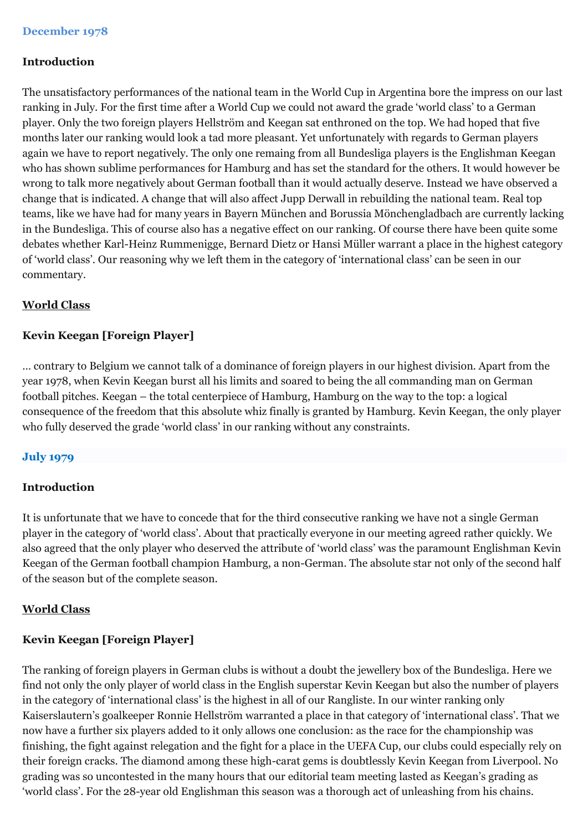## **Introduction**

The unsatisfactory performances of the national team in the World Cup in Argentina bore the impress on our last ranking in July. For the first time after a World Cup we could not award the grade 'world class' to a German player. Only the two foreign players Hellström and Keegan sat enthroned on the top. We had hoped that five months later our ranking would look a tad more pleasant. Yet unfortunately with regards to German players again we have to report negatively. The only one remaing from all Bundesliga players is the Englishman Keegan who has shown sublime performances for Hamburg and has set the standard for the others. It would however be wrong to talk more negatively about German football than it would actually deserve. Instead we have observed a change that is indicated. A change that will also affect Jupp Derwall in rebuilding the national team. Real top teams, like we have had for many years in Bayern München and Borussia Mönchengladbach are currently lacking in the Bundesliga. This of course also has a negative effect on our ranking. Of course there have been quite some debates whether Karl-Heinz Rummenigge, Bernard Dietz or Hansi Müller warrant a place in the highest category of 'world class'. Our reasoning why we left them in the category of 'international class' can be seen in our commentary.

## **World Class**

## **Kevin Keegan [Foreign Player]**

… contrary to Belgium we cannot talk of a dominance of foreign players in our highest division. Apart from the year 1978, when Kevin Keegan burst all his limits and soared to being the all commanding man on German football pitches. Keegan – the total centerpiece of Hamburg, Hamburg on the way to the top: a logical consequence of the freedom that this absolute whiz finally is granted by Hamburg. Kevin Keegan, the only player who fully deserved the grade 'world class' in our ranking without any constraints.

## **July 1979**

## **Introduction**

It is unfortunate that we have to concede that for the third consecutive ranking we have not a single German player in the category of 'world class'. About that practically everyone in our meeting agreed rather quickly. We also agreed that the only player who deserved the attribute of 'world class' was the paramount Englishman Kevin Keegan of the German football champion Hamburg, a non-German. The absolute star not only of the second half of the season but of the complete season.

## **World Class**

## **Kevin Keegan [Foreign Player]**

The ranking of foreign players in German clubs is without a doubt the jewellery box of the Bundesliga. Here we find not only the only player of world class in the English superstar Kevin Keegan but also the number of players in the category of 'international class' is the highest in all of our Rangliste. In our winter ranking only Kaiserslautern's goalkeeper Ronnie Hellström warranted a place in that category of 'international class'. That we now have a further six players added to it only allows one conclusion: as the race for the championship was finishing, the fight against relegation and the fight for a place in the UEFA Cup, our clubs could especially rely on their foreign cracks. The diamond among these high-carat gems is doubtlessly Kevin Keegan from Liverpool. No grading was so uncontested in the many hours that our editorial team meeting lasted as Keegan's grading as 'world class'. For the 28-year old Englishman this season was a thorough act of unleashing from his chains.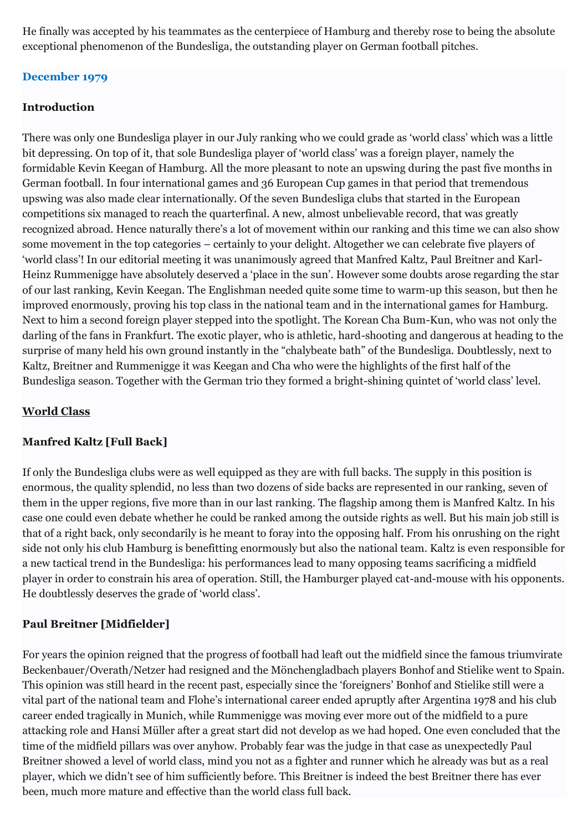He finally was accepted by his teammates as the centerpiece of Hamburg and thereby rose to being the absolute exceptional phenomenon of the Bundesliga, the outstanding player on German football pitches.

## **December 1979**

## **Introduction**

There was only one Bundesliga player in our July ranking who we could grade as 'world class' which was a little bit depressing. On top of it, that sole Bundesliga player of 'world class' was a foreign player, namely the formidable Kevin Keegan of Hamburg. All the more pleasant to note an upswing during the past five months in German football. In four international games and 36 European Cup games in that period that tremendous upswing was also made clear internationally. Of the seven Bundesliga clubs that started in the European competitions six managed to reach the quarterfinal. A new, almost unbelievable record, that was greatly recognized abroad. Hence naturally there's a lot of movement within our ranking and this time we can also show some movement in the top categories – certainly to your delight. Altogether we can celebrate five players of 'world class'! In our editorial meeting it was unanimously agreed that Manfred Kaltz, Paul Breitner and Karl-Heinz Rummenigge have absolutely deserved a 'place in the sun'. However some doubts arose regarding the star of our last ranking, Kevin Keegan. The Englishman needed quite some time to warm-up this season, but then he improved enormously, proving his top class in the national team and in the international games for Hamburg. Next to him a second foreign player stepped into the spotlight. The Korean Cha Bum-Kun, who was not only the darling of the fans in Frankfurt. The exotic player, who is athletic, hard-shooting and dangerous at heading to the surprise of many held his own ground instantly in the "chalybeate bath" of the Bundesliga. Doubtlessly, next to Kaltz, Breitner and Rummenigge it was Keegan and Cha who were the highlights of the first half of the Bundesliga season. Together with the German trio they formed a bright-shining quintet of 'world class' level.

### **World Class**

## **Manfred Kaltz [Full Back]**

If only the Bundesliga clubs were as well equipped as they are with full backs. The supply in this position is enormous, the quality splendid, no less than two dozens of side backs are represented in our ranking, seven of them in the upper regions, five more than in our last ranking. The flagship among them is Manfred Kaltz. In his case one could even debate whether he could be ranked among the outside rights as well. But his main job still is that of a right back, only secondarily is he meant to foray into the opposing half. From his onrushing on the right side not only his club Hamburg is benefitting enormously but also the national team. Kaltz is even responsible for a new tactical trend in the Bundesliga: his performances lead to many opposing teams sacrificing a midfield player in order to constrain his area of operation. Still, the Hamburger played cat-and-mouse with his opponents. He doubtlessly deserves the grade of 'world class'.

## **Paul Breitner [Midfielder]**

For years the opinion reigned that the progress of football had leaft out the midfield since the famous triumvirate Beckenbauer/Overath/Netzer had resigned and the Mönchengladbach players Bonhof and Stielike went to Spain. This opinion was still heard in the recent past, especially since the 'foreigners' Bonhof and Stielike still were a vital part of the national team and Flohe's international career ended apruptly after Argentina 1978 and his club career ended tragically in Munich, while Rummenigge was moving ever more out of the midfield to a pure attacking role and Hansi Müller after a great start did not develop as we had hoped. One even concluded that the time of the midfield pillars was over anyhow. Probably fear was the judge in that case as unexpectedly Paul Breitner showed a level of world class, mind you not as a fighter and runner which he already was but as a real player, which we didn't see of him sufficiently before. This Breitner is indeed the best Breitner there has ever been, much more mature and effective than the world class full back.